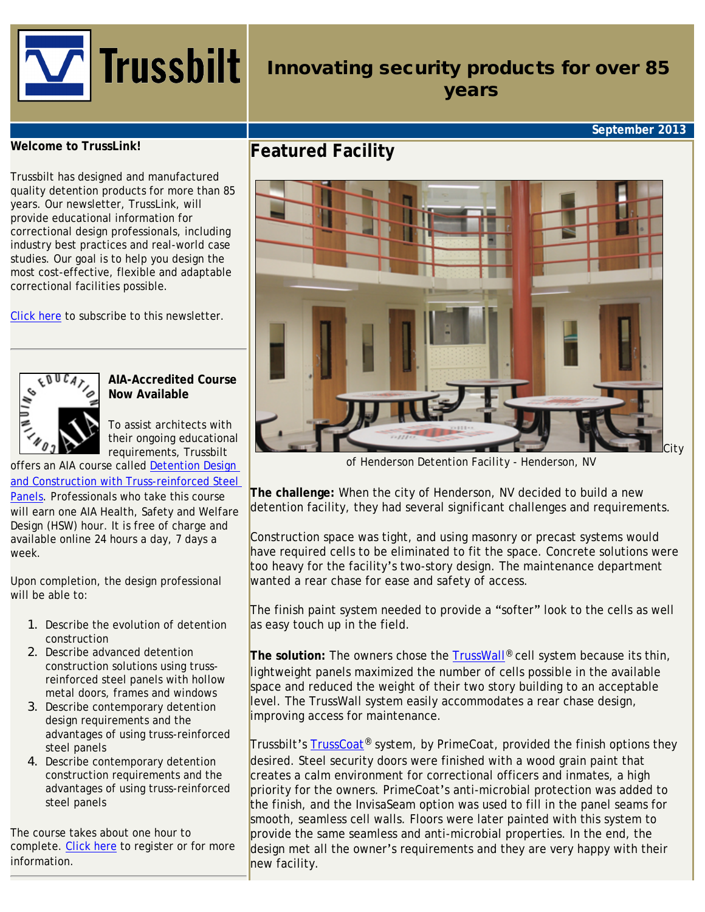

# Innovating security products for over 85 years

## **September 2013**

#### **Welcome to TrussLink!**

Trussbilt has designed and manufactured quality detention products for more than 85 years. Our newsletter, TrussLink, will provide educational information for correctional design professionals, including industry best practices and real-world case studies. Our goal is to help you design the most cost-effective, flexible and adaptable correctional facilities possible.

[Click here](http://www.trussbilt.com/register.php) to subscribe to this newsletter.



**AIA-Accredited Course Now Available**

To assist architects with their ongoing educational requirements, Trussbilt

offers an AIA course called [Detention Design](http://ronblank.com/cgi-bin/info.pl?action=course&id=231) [and Construction with Truss-reinforced Steel](http://ronblank.com/cgi-bin/info.pl?action=course&id=231) [Panels](http://ronblank.com/cgi-bin/info.pl?action=course&id=231). Professionals who take this course will earn one AIA Health, Safety and Welfare Design (HSW) hour. It is free of charge and available online 24 hours a day, 7 days a week.

Upon completion, the design professional will be able to:

- 1. Describe the evolution of detention construction
- 2. Describe advanced detention construction solutions using trussreinforced steel panels with hollow metal doors, frames and windows
- 3. Describe contemporary detention design requirements and the advantages of using truss-reinforced steel panels
- 4. Describe contemporary detention construction requirements and the advantages of using truss-reinforced steel panels

The course takes about one hour to complete. [Click here](http://ronblank.com/cgi-bin/info.pl?action=course&id=231) to register or for more information.

# **Featured Facility**



*of Henderson Detention Facility - Henderson, NV*

**The challenge:** When the city of Henderson, NV decided to build a new detention facility, they had several significant challenges and requirements.

Construction space was tight, and using masonry or precast systems would have required cells to be eliminated to fit the space. Concrete solutions were too heavy for the facility's two-story design. The maintenance department wanted a rear chase for ease and safety of access.

The finish paint system needed to provide a "softer" look to the cells as well as easy touch up in the field.

**The solution:** The owners chose the [TrussWall®](http://www.trussbilt.com/trusswall.php) cell system because its thin, lightweight panels maximized the number of cells possible in the available space and reduced the weight of their two story building to an acceptable level. The TrussWall system easily accommodates a rear chase design, improving access for maintenance.

Trussbilt's [TrussCoat](http://www.trussbilt.com/trusscoat.php)<sup>®</sup> system, by PrimeCoat, provided the finish options they desired. Steel security doors were finished with a wood grain paint that creates a calm environment for correctional officers and inmates, a high priority for the owners. PrimeCoat's anti-microbial protection was added to the finish, and the InvisaSeam option was used to fill in the panel seams for smooth, seamless cell walls. Floors were later painted with this system to provide the same seamless and anti-microbial properties. In the end, the design met all the owner's requirements and they are very happy with their new facility.